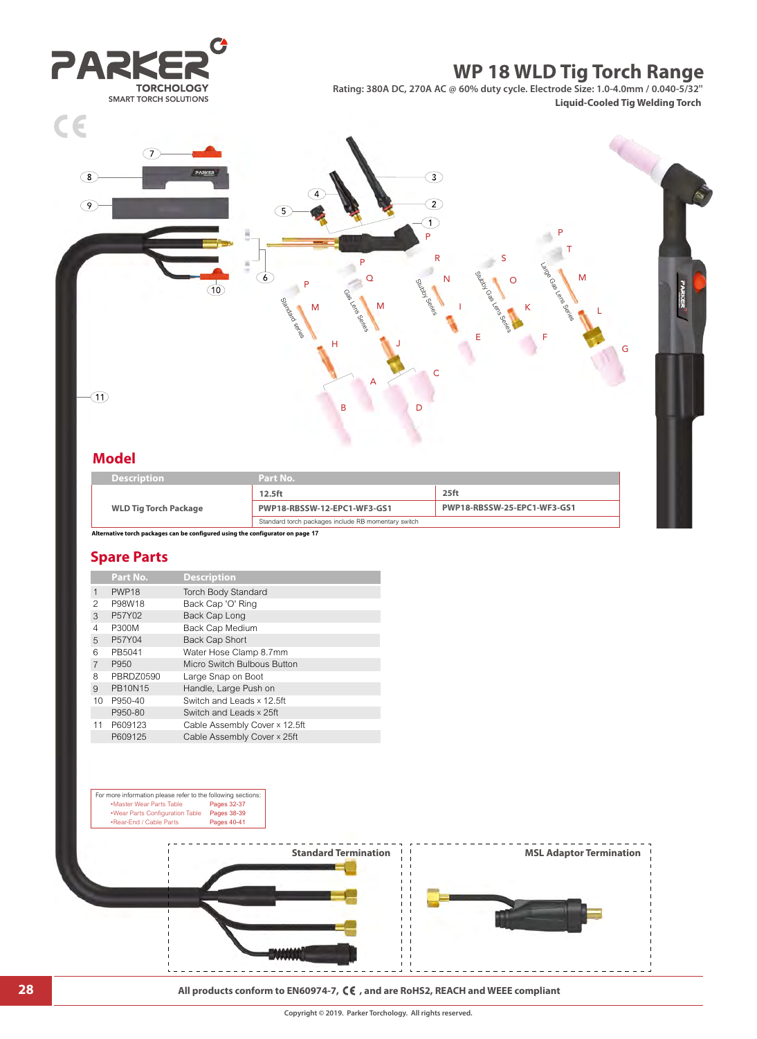

| <b>Description</b>           | Part No.                                            |                             |
|------------------------------|-----------------------------------------------------|-----------------------------|
|                              | 12.5 <sub>ft</sub>                                  | $25$ ft                     |
| <b>WLD Tig Torch Package</b> | PWP18-RBSSW-12-EPC1-WF3-GS1                         | PWP18-RBSSW-25-EPC1-WF3-GS1 |
|                              | Standard torch packages include RB momentary switch |                             |

**Alternative torch packages can be configured using the configurator on page 17**

## **Model Spare Parts**

|                | Part No.          | <b>Description</b>            |
|----------------|-------------------|-------------------------------|
| 1              | PWP <sub>18</sub> | Torch Body Standard           |
| 2              | P98W18            | Back Cap 'O' Ring             |
| 3              | P57Y02            | Back Cap Long                 |
| 4              | P300M             | Back Cap Medium               |
| 5              | P57Y04            | <b>Back Cap Short</b>         |
| 6              | PB5041            | Water Hose Clamp 8.7mm        |
| $\overline{7}$ | P950              | Micro Switch Bulbous Button   |
| 8              | PBRDZ0590         | Large Snap on Boot            |
| $\mathbf{Q}$   | <b>PB10N15</b>    | Handle, Large Push on         |
| 10             | P950-40           | Switch and Leads x 12.5ft     |
|                | P950-80           | Switch and Leads x 25ft       |
| 11             | P609123           | Cable Assembly Cover x 12.5ft |
|                | P609125           | Cable Assembly Cover x 25ft   |
|                |                   |                               |



### **28 All products conform to EN60974-7, CE**, and are RoHS2, REACH and WEEE compliant